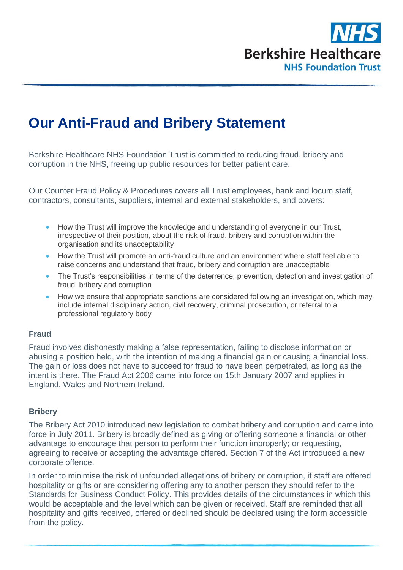

# **Our Anti-Fraud and Bribery Statement**

Berkshire Healthcare NHS Foundation Trust is committed to reducing fraud, bribery and corruption in the NHS, freeing up public resources for better patient care.

Our Counter Fraud Policy & Procedures covers all Trust employees, bank and locum staff, contractors, consultants, suppliers, internal and external stakeholders, and covers:

- How the Trust will improve the knowledge and understanding of everyone in our Trust, irrespective of their position, about the risk of fraud, bribery and corruption within the organisation and its unacceptability
- How the Trust will promote an anti-fraud culture and an environment where staff feel able to raise concerns and understand that fraud, bribery and corruption are unacceptable
- The Trust's responsibilities in terms of the deterrence, prevention, detection and investigation of fraud, bribery and corruption
- How we ensure that appropriate sanctions are considered following an investigation, which may include internal disciplinary action, civil recovery, criminal prosecution, or referral to a professional regulatory body

#### **Fraud**

Fraud involves dishonestly making a false representation, failing to disclose information or abusing a position held, with the intention of making a financial gain or causing a financial loss. The gain or loss does not have to succeed for fraud to have been perpetrated, as long as the intent is there. The Fraud Act 2006 came into force on 15th January 2007 and applies in England, Wales and Northern Ireland.

#### **Bribery**

The Bribery Act 2010 introduced new legislation to combat bribery and corruption and came into force in July 2011. Bribery is broadly defined as giving or offering someone a financial or other advantage to encourage that person to perform their function improperly; or requesting, agreeing to receive or accepting the advantage offered. Section 7 of the Act introduced a new corporate offence.

In order to minimise the risk of unfounded allegations of bribery or corruption, if staff are offered hospitality or gifts or are considering offering any to another person they should refer to the Standards for Business Conduct Policy. This provides details of the circumstances in which this would be acceptable and the level which can be given or received. Staff are reminded that all hospitality and gifts received, offered or declined should be declared using the form accessible from the policy.